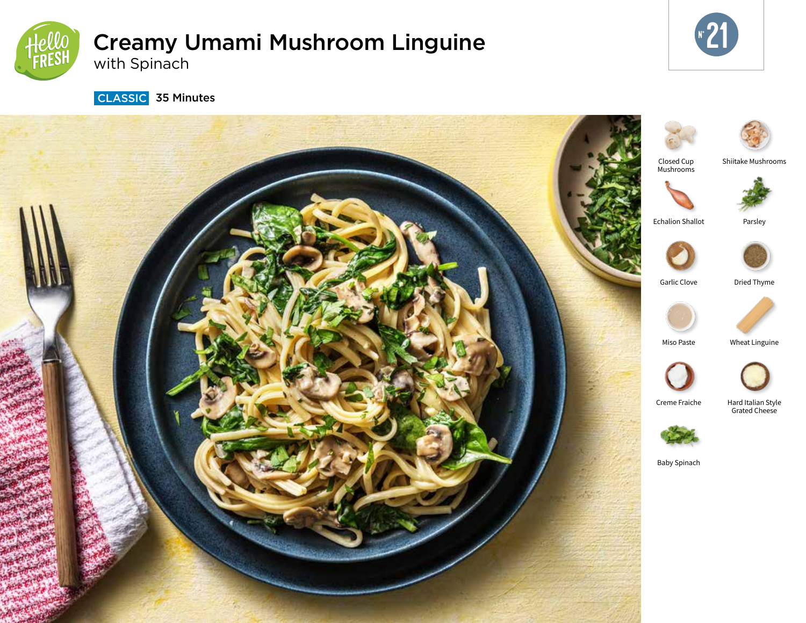

# Creamy Umami Mushroom Linguine with Spinach



**CLASSIC** 35 Minutes